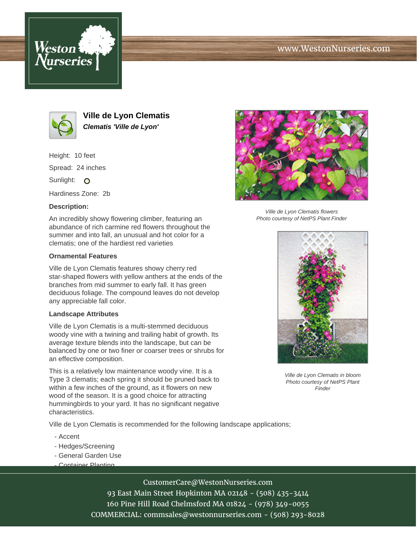





**Ville de Lyon Clematis Clematis 'Ville de Lyon'**

Height: 10 feet Spread: 24 inches

Sunlight: O

Hardiness Zone: 2b

## **Description:**

An incredibly showy flowering climber, featuring an abundance of rich carmine red flowers throughout the summer and into fall, an unusual and hot color for a clematis; one of the hardiest red varieties

## **Ornamental Features**

Ville de Lyon Clematis features showy cherry red star-shaped flowers with yellow anthers at the ends of the branches from mid summer to early fall. It has green deciduous foliage. The compound leaves do not develop any appreciable fall color.

## **Landscape Attributes**

Ville de Lyon Clematis is a multi-stemmed deciduous woody vine with a twining and trailing habit of growth. Its average texture blends into the landscape, but can be balanced by one or two finer or coarser trees or shrubs for an effective composition.

This is a relatively low maintenance woody vine. It is a Type 3 clematis; each spring it should be pruned back to within a few inches of the ground, as it flowers on new wood of the season. It is a good choice for attracting hummingbirds to your yard. It has no significant negative characteristics.

Ville de Lyon Clematis is recommended for the following landscape applications;

- Accent
- Hedges/Screening
- General Garden Use
- Container Planting



Ville de Lyon Clematis flowers Photo courtesy of NetPS Plant Finder



Ville de Lyon Clematis in bloom Photo courtesy of NetPS Plant **Finder** 

CustomerCare@WestonNurseries.com

93 East Main Street Hopkinton MA 02148 - (508) 435-3414 160 Pine Hill Road Chelmsford MA 01824 - (978) 349-0055 COMMERCIAL: commsales@westonnurseries.com - (508) 293-8028